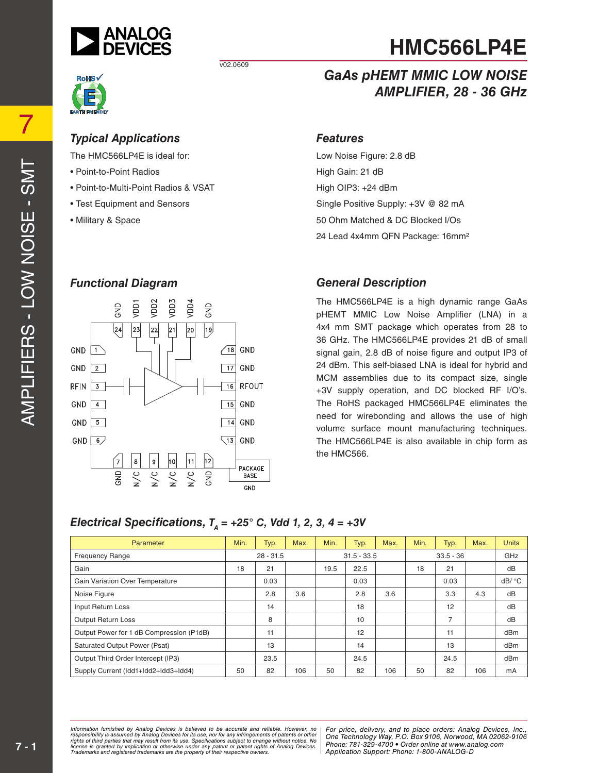

v02.0609



The HMC566LP4E is ideal for:

- Point-to-Point Radios
- Point-to-Multi-Point Radios & VSAT
- Test Equipment and Sensors
- Military & Space

### *GaAs pHEMT MMIC LOW NOISE AMPLIFIER, 28 - 36 GHz*

#### *Features*

Low Noise Figure: 2.8 dB High Gain: 21 dB High OIP3: +24 dBm Single Positive Supply: +3V @ 82 mA 50 Ohm Matched & DC Blocked I/Os 24 Lead 4x4mm QFN Package: 16mm²

### *Functional Diagram*



### *General Description*

The HMC566LP4E is a high dynamic range GaAs pHEMT MMIC Low Noise Amplifier (LNA) in a 4x4 mm SMT package which operates from 28 to 36 GHz. The HMC566LP4E provides 21 dB of small signal gain, 2.8 dB of noise figure and output IP3 of 24 dBm. This self-biased LNA is ideal for hybrid and MCM assemblies due to its compact size, single +3V supply operation, and DC blocked RF I/O's. The RoHS packaged HMC566LP4E eliminates the need for wirebonding and allows the use of high volume surface mount manufacturing techniques. The HMC566LP4E is also available in chip form as the HMC566.

### *Electrical Specifications,*  $T<sub>A</sub> = +25$ ° *C, Vdd 1, 2, 3, 4 = +3V*

| Parameter                                | Min.        | Typ. | Max.          | Min. | Typ.        | Max. | Min. | Typ. | Max. | <b>Units</b> |
|------------------------------------------|-------------|------|---------------|------|-------------|------|------|------|------|--------------|
| <b>Frequency Range</b>                   | $28 - 31.5$ |      | $31.5 - 33.5$ |      | $33.5 - 36$ |      | GHz  |      |      |              |
| Gain                                     | 18          | 21   |               | 19.5 | 22.5        |      | 18   | 21   |      | dB           |
| <b>Gain Variation Over Temperature</b>   |             | 0.03 |               |      | 0.03        |      |      | 0.03 |      | dB/ °C       |
| Noise Figure                             |             | 2.8  | 3.6           |      | 2.8         | 3.6  |      | 3.3  | 4.3  | dB           |
| Input Return Loss                        |             | 14   |               |      | 18          |      |      | 12   |      | dB           |
| <b>Output Return Loss</b>                |             | 8    |               |      | 10          |      |      | 7    |      | dB           |
| Output Power for 1 dB Compression (P1dB) |             | 11   |               |      | 12          |      |      | 11   |      | dBm          |
| <b>Saturated Output Power (Psat)</b>     |             | 13   |               |      | 14          |      |      | 13   |      | dBm          |
| Output Third Order Intercept (IP3)       |             | 23.5 |               |      | 24.5        |      |      | 24.5 |      | dBm          |
| Supply Current (Idd1+Idd2+Idd3+Idd4)     | 50          | 82   | 106           | 50   | 82          | 106  | 50   | 82   | 106  | mA           |

mation rurnished by Analog Devices is believed to be accurate and reliable. However, more **religion, Alpha Road, MA 01824**<br>onsibility is assumed by Analog Devices for its use, nor for any infringements of patents or other *pressult from its use. Specifications subject to change without notice. No*<br>ation or otherwise under any patent or patent rights of Analog Devices Phone: 781-329-4700 • Order online at ww *e* the property of their respective owners. **Application Support: Phone: 1-8** *Information furnished by Analog Devices is believed to be accurate and reliable. However, no*  responsibility is assumed by Analog Devices for its use, nor for any infringements of patents or other<br>rights of third parties that may result from its use. Specifications subject to change without notice. No<br>license is gr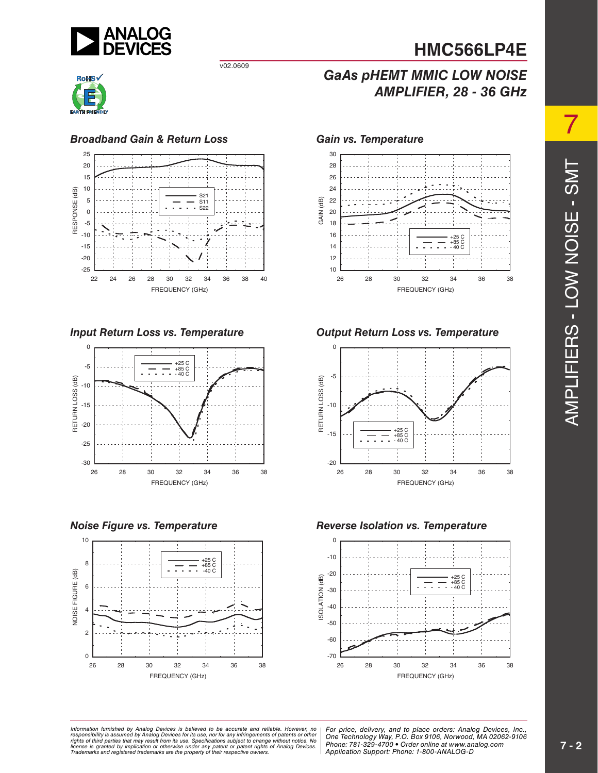

v02.0609



### *Broadband Gain & Return Loss Gain vs. Temperature*









*GaAs pHEMT MMIC LOW NOISE*

*AMPLIFIER, 28 - 36 GHz* 

### *Input Return Loss vs. Temperature Output Return Loss vs. Temperature*



### *Noise Figure vs. Temperature Reverse Isolation vs. Temperature*



mation furnished by Analog Devices is believed to be accurate and reliable. However, no | For price, delivery, and to place orders: Analog Devices, Inc.,<br>onsibility is assumed by Analog Devices for its use, nor for any inf *pressult from its use. Specifications subject to change without notice. No*<br>ation or otherwise under any patent or patent rights of Analog Devices Phone: 781-329-4700 • Order online at ww *e* the property of their respective owners. **Application Support: Phone: 1-8** *Information furnished by Analog Devices is believed to be accurate and reliable. However, no*  responsibility is assumed by Analog Devices for its use, nor for any infringements of patents or other<br>rights of third parties that may result from its use. Specifications subject to change without notice. No<br>license is gr

*Phone: 781-329-4700 • Order online at www.analog.com Application Support: Phone: 1-800-ANALOG-D*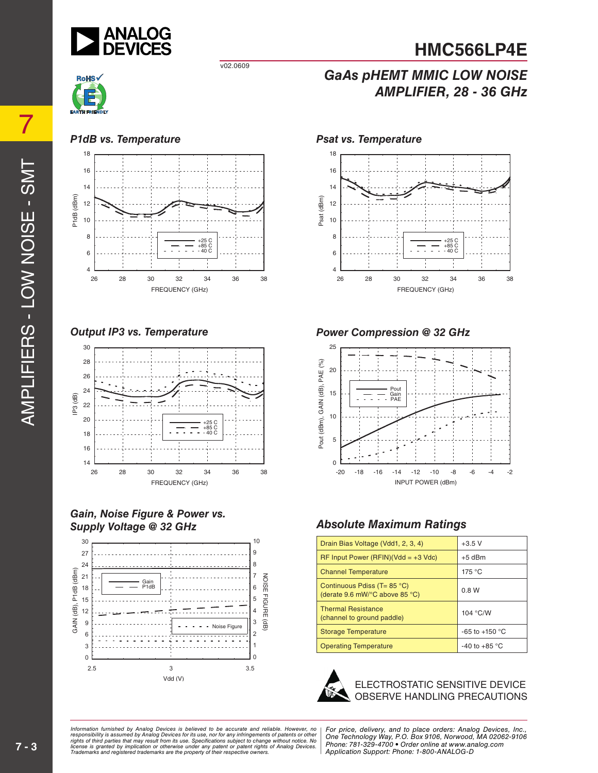

v02.0609



### *P1dB vs. Temperature*



*Output IP3 vs. Temperature*



#### *Gain, Noise Figure & Power vs. Supply Voltage @ 32 GHz*



### *Psat vs. Temperature*



*GaAs pHEMT MMIC LOW NOISE*

*AMPLIFIER, 28 - 36 GHz* 

### *Power Compression @ 32 GHz*



### *Absolute Maximum Ratings*

| Drain Bias Voltage (Vdd1, 2, 3, 4)                                     | $+3.5$ V               |  |  |
|------------------------------------------------------------------------|------------------------|--|--|
| $RF$ Input Power (RFIN)(Vdd = +3 Vdc)                                  | $+5$ dBm               |  |  |
| <b>Channel Temperature</b>                                             | 175 °C                 |  |  |
| Continuous Pdiss (T= $85^{\circ}$ C)<br>(derate 9.6 mW/°C above 85 °C) | 0.8W                   |  |  |
| <b>Thermal Resistance</b><br>(channel to ground paddle)                | 104 °C/W               |  |  |
| <b>Storage Temperature</b>                                             | $-65$ to $+150$ °C     |  |  |
| <b>Operating Temperature</b>                                           | -40 to +85 $\degree$ C |  |  |



#### ELECTROSTATIC SENSITIVE DEVICE OBSERVE HANDLING PRECAUTIONS

mation furnished by Analog Devices is believed to be accurate and reliable. However, no | For price, delivery, and to place orders: Analog Devices, Inc.,<br>onsibility is assumed by Analog Devices for its use, nor for any inf *pressult from its use. Specifications subject to change without notice. No*<br>ation or otherwise under any patent or patent rights of Analog Devices Phone: 781-329-4700 • Order online at ww *e* the property of their respective owners. **Application Support: Phone: 1-8** *Information furnished by Analog Devices is believed to be accurate and reliable. However, no*  responsibility is assumed by Analog Devices for its use, nor for any infringements of patents or other<br>rights of third parties that may result from its use. Specifications subject to change without notice. No<br>license is gr

*Phone: 781-329-4700 • Order online at www.analog.com Application Support: Phone: 1-800-ANALOG-D*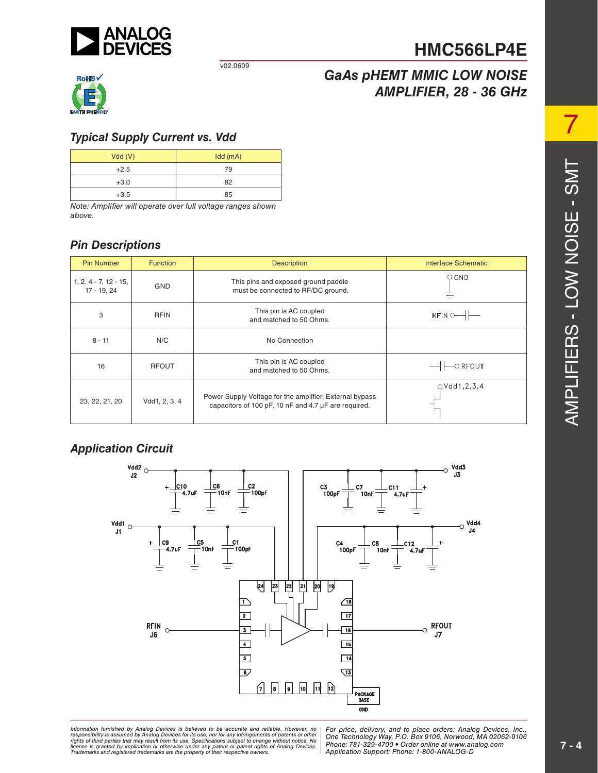

#### v02.0609



## *GaAs pHEMT MMIC LOW NOISE AMPLIFIER, 28 - 36 GHz*

**HMC566LP4E**

### *Typical Supply Current vs. Vdd*

| Vdd(V) | $Idd$ (mA) |
|--------|------------|
| $+2.5$ | 79         |
| $+3.0$ | 82         |
| $+3.5$ | 85         |

*Note: Amplifier will operate over full voltage ranges shown above.* 

### *Pin Descriptions*

| <b>Pin Number</b>                      | <b>Function</b> | <b>Description</b>                                                                                              | Interface Schematic                   |
|----------------------------------------|-----------------|-----------------------------------------------------------------------------------------------------------------|---------------------------------------|
| $1, 2, 4 - 7, 12 - 15,$<br>17 - 19, 24 | <b>GND</b>      | This pins and exposed ground paddle<br>must be connected to RF/DC ground.                                       | $\circ$ GND                           |
| 3                                      | <b>RFIN</b>     | This pin is AC coupled<br>and matched to 50 Ohms.                                                               | $RFIN$ $\odot$ $\rightarrow$ $\vdash$ |
| $8 - 11$                               | N/C             | No Connection                                                                                                   |                                       |
| 16                                     | <b>RFOUT</b>    | This pin is AC coupled<br>and matched to 50 Ohms.                                                               | $\circ$ RFOUT                         |
| 23, 22, 21, 20                         | Vdd1, 2, 3, 4   | Power Supply Voltage for the amplifier. External bypass<br>capacitors of 100 pF, 10 nF and 4.7 µF are required. | OVdd1, 2, 3, 4                        |

### *Application Circuit*



mation rurnished by Analog Devices is believed to be accurate and reliable. However, more **religion, Alpha Road, MA 01824**<br>onsibility is assumed by Analog Devices for its use, nor for any infringements of patents or other *pressult from its use. Specifications subject to change without notice. No*<br>ation or otherwise under any patent or patent rights of Analog Devices Phone: 781-329-4700 • Order online at ww *e* the property of their respective owners. **Application Support: Phone: 1-8** Information furnished by Analog Devices is believed to be accurate and reliable. However, no<br>responsibility is assumed by Analog Devices for its use, nor for any infringements of patents or other<br>rights of third parties th

*For price, delivery, and to place orders: Analog Devices, Inc., One Technology Way, P.O. Box 9106, Norwood, MA 02062-9106 Phone: 781-329-4700 • Order online at www.analog.com Application Support: Phone: 1-800-ANALOG-D*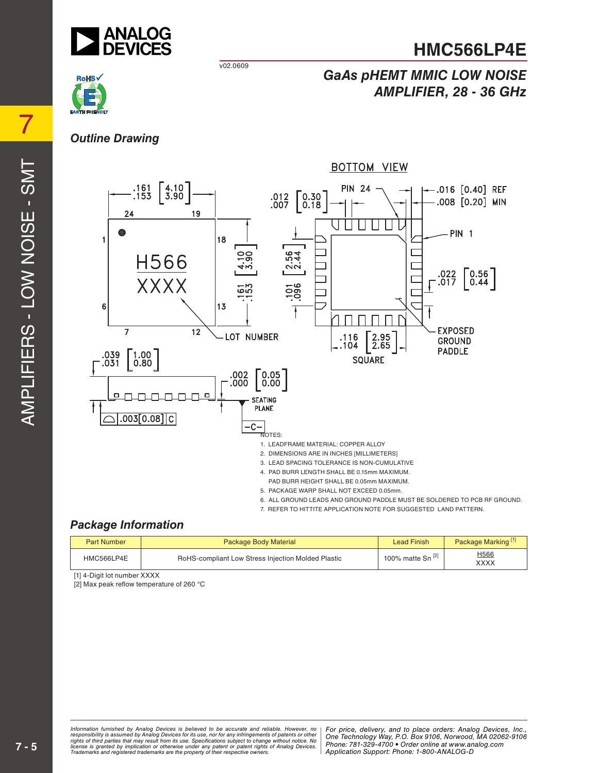

v02.0609



### *GaAs pHEMT MMIC LOW NOISE AMPLIFIER, 28 - 36 GHz*

### *Outline Drawing*



- PAD BURR HEIGHT SHALL BE 0.05mm MAXIMUM.
- 5. PACKAGE WARP SHALL NOT EXCEED 0.05mm.
- 6. ALL GROUND LEADS AND GROUND PADDLE MUST BE SOLDERED TO PCB RF GROUND.
- 7. REFER TO HITTITE APPLICATION NOTE FOR SUGGESTED LAND PATTERN.

### *Package Information*

| <b>Part Number</b> | <b>Package Body Material</b>                       | <b>Lead Finish</b>           | Package Marking <sup>[1]</sup> |
|--------------------|----------------------------------------------------|------------------------------|--------------------------------|
| HMC566LP4E         | RoHS-compliant Low Stress Injection Molded Plastic | 100% matte Sn <sup>[2]</sup> | H <sub>566</sub><br>XXXX       |

[1] 4-Digit lot number XXXX

[2] Max peak reflow temperature of 260 °C

 $\mathcal{O}$ 

 $\vdash$ 

7

mation furnished by Analog Devices is believed to be accurate and reliable. However, no | For price, delivery, and to place orders: Analog Devices, Inc.,<br>onsibility is assumed by Analog Devices for its use, nor for any inf *pressult from its use. Specifications subject to change without notice. No*<br>ation or otherwise under any patent or patent rights of Analog Devices Phone: 781-329-4700 • Order online at ww *e* the property of their respective owners. **Application Support: Phone: 1-8** *Information furnished by Analog Devices is believed to be accurate and reliable. However, no*  responsibility is assumed by Analog Devices for its use, nor for any infringements of patents or other<br>rights of third parties that may result from its use. Specifications subject to change without notice. No<br>license is gr

*Phone: 781-329-4700 • Order online at www.analog.com Application Support: Phone: 1-800-ANALOG-D*